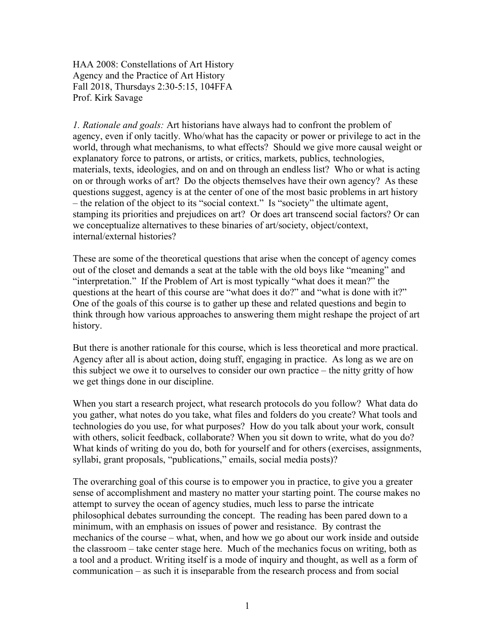HAA 2008: Constellations of Art History Agency and the Practice of Art History Fall 2018, Thursdays 2:30-5:15, 104FFA Prof. Kirk Savage

*1. Rationale and goals:* Art historians have always had to confront the problem of agency, even if only tacitly. Who/what has the capacity or power or privilege to act in the world, through what mechanisms, to what effects? Should we give more causal weight or explanatory force to patrons, or artists, or critics, markets, publics, technologies, materials, texts, ideologies, and on and on through an endless list? Who or what is acting on or through works of art? Do the objects themselves have their own agency? As these questions suggest, agency is at the center of one of the most basic problems in art history – the relation of the object to its "social context." Is "society" the ultimate agent, stamping its priorities and prejudices on art? Or does art transcend social factors? Or can we conceptualize alternatives to these binaries of art/society, object/context, internal/external histories?

These are some of the theoretical questions that arise when the concept of agency comes out of the closet and demands a seat at the table with the old boys like "meaning" and "interpretation." If the Problem of Art is most typically "what does it mean?" the questions at the heart of this course are "what does it do?" and "what is done with it?" One of the goals of this course is to gather up these and related questions and begin to think through how various approaches to answering them might reshape the project of art history.

But there is another rationale for this course, which is less theoretical and more practical. Agency after all is about action, doing stuff, engaging in practice. As long as we are on this subject we owe it to ourselves to consider our own practice – the nitty gritty of how we get things done in our discipline.

When you start a research project, what research protocols do you follow? What data do you gather, what notes do you take, what files and folders do you create? What tools and technologies do you use, for what purposes? How do you talk about your work, consult with others, solicit feedback, collaborate? When you sit down to write, what do you do? What kinds of writing do you do, both for yourself and for others (exercises, assignments, syllabi, grant proposals, "publications," emails, social media posts)?

The overarching goal of this course is to empower you in practice, to give you a greater sense of accomplishment and mastery no matter your starting point. The course makes no attempt to survey the ocean of agency studies, much less to parse the intricate philosophical debates surrounding the concept. The reading has been pared down to a minimum, with an emphasis on issues of power and resistance. By contrast the mechanics of the course – what, when, and how we go about our work inside and outside the classroom – take center stage here. Much of the mechanics focus on writing, both as a tool and a product. Writing itself is a mode of inquiry and thought, as well as a form of communication – as such it is inseparable from the research process and from social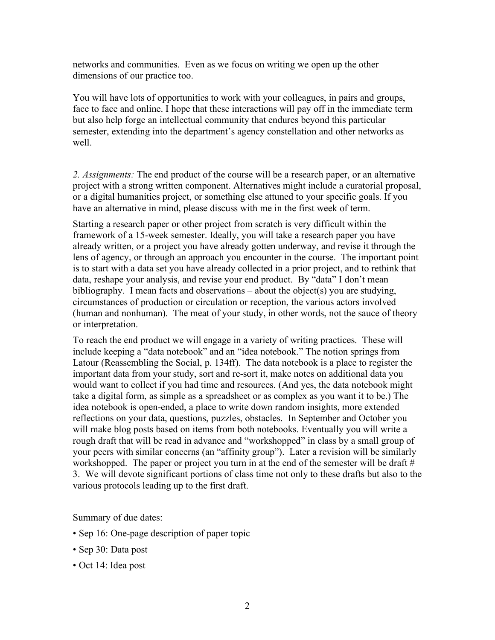networks and communities. Even as we focus on writing we open up the other dimensions of our practice too.

You will have lots of opportunities to work with your colleagues, in pairs and groups, face to face and online. I hope that these interactions will pay off in the immediate term but also help forge an intellectual community that endures beyond this particular semester, extending into the department's agency constellation and other networks as well.

*2. Assignments:* The end product of the course will be a research paper, or an alternative project with a strong written component. Alternatives might include a curatorial proposal, or a digital humanities project, or something else attuned to your specific goals. If you have an alternative in mind, please discuss with me in the first week of term.

Starting a research paper or other project from scratch is very difficult within the framework of a 15-week semester. Ideally, you will take a research paper you have already written, or a project you have already gotten underway, and revise it through the lens of agency, or through an approach you encounter in the course. The important point is to start with a data set you have already collected in a prior project, and to rethink that data, reshape your analysis, and revise your end product. By "data" I don't mean bibliography. I mean facts and observations – about the object(s) you are studying, circumstances of production or circulation or reception, the various actors involved (human and nonhuman). The meat of your study, in other words, not the sauce of theory or interpretation.

To reach the end product we will engage in a variety of writing practices. These will include keeping a "data notebook" and an "idea notebook." The notion springs from Latour (Reassembling the Social, p. 134ff). The data notebook is a place to register the important data from your study, sort and re-sort it, make notes on additional data you would want to collect if you had time and resources. (And yes, the data notebook might take a digital form, as simple as a spreadsheet or as complex as you want it to be.) The idea notebook is open-ended, a place to write down random insights, more extended reflections on your data, questions, puzzles, obstacles. In September and October you will make blog posts based on items from both notebooks. Eventually you will write a rough draft that will be read in advance and "workshopped" in class by a small group of your peers with similar concerns (an "affinity group"). Later a revision will be similarly workshopped. The paper or project you turn in at the end of the semester will be draft # 3. We will devote significant portions of class time not only to these drafts but also to the various protocols leading up to the first draft.

Summary of due dates:

- Sep 16: One-page description of paper topic
- Sep 30: Data post
- Oct 14: Idea post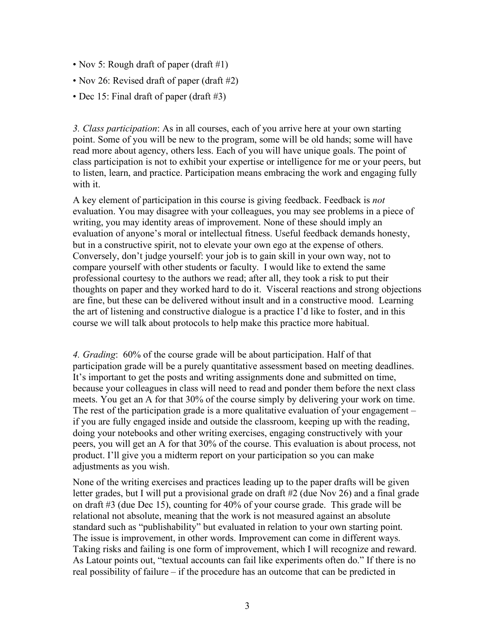- Nov 5: Rough draft of paper (draft #1)
- Nov 26: Revised draft of paper (draft #2)
- Dec 15: Final draft of paper (draft #3)

*3. Class participation*: As in all courses, each of you arrive here at your own starting point. Some of you will be new to the program, some will be old hands; some will have read more about agency, others less. Each of you will have unique goals. The point of class participation is not to exhibit your expertise or intelligence for me or your peers, but to listen, learn, and practice. Participation means embracing the work and engaging fully with it.

A key element of participation in this course is giving feedback. Feedback is *not* evaluation. You may disagree with your colleagues, you may see problems in a piece of writing, you may identity areas of improvement. None of these should imply an evaluation of anyone's moral or intellectual fitness. Useful feedback demands honesty, but in a constructive spirit, not to elevate your own ego at the expense of others. Conversely, don't judge yourself: your job is to gain skill in your own way, not to compare yourself with other students or faculty. I would like to extend the same professional courtesy to the authors we read; after all, they took a risk to put their thoughts on paper and they worked hard to do it. Visceral reactions and strong objections are fine, but these can be delivered without insult and in a constructive mood. Learning the art of listening and constructive dialogue is a practice I'd like to foster, and in this course we will talk about protocols to help make this practice more habitual.

*4. Grading*: 60% of the course grade will be about participation. Half of that participation grade will be a purely quantitative assessment based on meeting deadlines. It's important to get the posts and writing assignments done and submitted on time, because your colleagues in class will need to read and ponder them before the next class meets. You get an A for that 30% of the course simply by delivering your work on time. The rest of the participation grade is a more qualitative evaluation of your engagement – if you are fully engaged inside and outside the classroom, keeping up with the reading, doing your notebooks and other writing exercises, engaging constructively with your peers, you will get an A for that 30% of the course. This evaluation is about process, not product. I'll give you a midterm report on your participation so you can make adjustments as you wish.

None of the writing exercises and practices leading up to the paper drafts will be given letter grades, but I will put a provisional grade on draft #2 (due Nov 26) and a final grade on draft #3 (due Dec 15), counting for 40% of your course grade. This grade will be relational not absolute, meaning that the work is not measured against an absolute standard such as "publishability" but evaluated in relation to your own starting point. The issue is improvement, in other words. Improvement can come in different ways. Taking risks and failing is one form of improvement, which I will recognize and reward. As Latour points out, "textual accounts can fail like experiments often do." If there is no real possibility of failure – if the procedure has an outcome that can be predicted in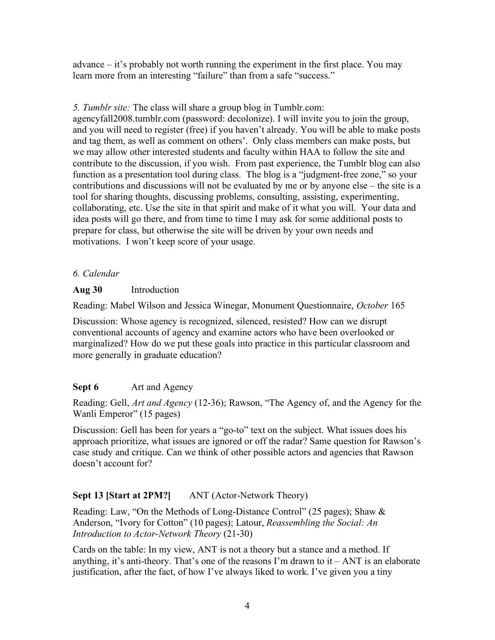advance – it's probably not worth running the experiment in the first place. You may learn more from an interesting "failure" than from a safe "success."

### *5. Tumblr site:* The class will share a group blog in Tumblr.com:

agencyfall2008.tumblr.com (password: decolonize). I will invite you to join the group, and you will need to register (free) if you haven't already. You will be able to make posts and tag them, as well as comment on others'. Only class members can make posts, but we may allow other interested students and faculty within HAA to follow the site and contribute to the discussion, if you wish. From past experience, the Tumblr blog can also function as a presentation tool during class. The blog is a "judgment-free zone," so your contributions and discussions will not be evaluated by me or by anyone else – the site is a tool for sharing thoughts, discussing problems, consulting, assisting, experimenting, collaborating, etc. Use the site in that spirit and make of it what you will. Your data and idea posts will go there, and from time to time I may ask for some additional posts to prepare for class, but otherwise the site will be driven by your own needs and motivations. I won't keep score of your usage.

## *6. Calendar*

## **Aug 30** Introduction

Reading: Mabel Wilson and Jessica Winegar, Monument Questionnaire, *October* 165

Discussion: Whose agency is recognized, silenced, resisted? How can we disrupt conventional accounts of agency and examine actors who have been overlooked or marginalized? How do we put these goals into practice in this particular classroom and more generally in graduate education?

# **Sept 6** Art and Agency

Reading: Gell, *Art and Agency* (12-36); Rawson, "The Agency of, and the Agency for the Wanli Emperor" (15 pages)

Discussion: Gell has been for years a "go-to" text on the subject. What issues does his approach prioritize, what issues are ignored or off the radar? Same question for Rawson's case study and critique. Can we think of other possible actors and agencies that Rawson doesn't account for?

# **Sept 13 [Start at 2PM?]** ANT (Actor-Network Theory)

Reading: Law, "On the Methods of Long-Distance Control" (25 pages); Shaw & Anderson, "Ivory for Cotton" (10 pages); Latour, *Reassembling the Social: An Introduction to Actor-Network Theory* (21-30)

Cards on the table: In my view, ANT is not a theory but a stance and a method. If anything, it's anti-theory. That's one of the reasons I'm drawn to  $it - ANT$  is an elaborate justification, after the fact, of how I've always liked to work. I've given you a tiny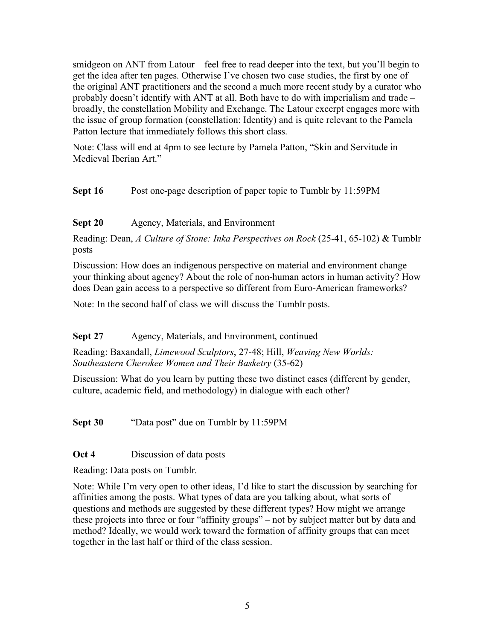smidgeon on ANT from Latour – feel free to read deeper into the text, but you'll begin to get the idea after ten pages. Otherwise I've chosen two case studies, the first by one of the original ANT practitioners and the second a much more recent study by a curator who probably doesn't identify with ANT at all. Both have to do with imperialism and trade – broadly, the constellation Mobility and Exchange. The Latour excerpt engages more with the issue of group formation (constellation: Identity) and is quite relevant to the Pamela Patton lecture that immediately follows this short class.

Note: Class will end at 4pm to see lecture by Pamela Patton, "Skin and Servitude in Medieval Iberian Art."

**Sept 16** Post one-page description of paper topic to Tumblr by 11:59PM

**Sept 20** Agency, Materials, and Environment

Reading: Dean, *A Culture of Stone: Inka Perspectives on Rock* (25-41, 65-102) & Tumblr posts

Discussion: How does an indigenous perspective on material and environment change your thinking about agency? About the role of non-human actors in human activity? How does Dean gain access to a perspective so different from Euro-American frameworks?

Note: In the second half of class we will discuss the Tumblr posts.

**Sept 27** Agency, Materials, and Environment, continued

Reading: Baxandall, *Limewood Sculptors*, 27-48; Hill, *Weaving New Worlds: Southeastern Cherokee Women and Their Basketry* (35-62)

Discussion: What do you learn by putting these two distinct cases (different by gender, culture, academic field, and methodology) in dialogue with each other?

**Sept 30** "Data post" due on Tumblr by 11:59PM

**Oct 4** Discussion of data posts

Reading: Data posts on Tumblr.

Note: While I'm very open to other ideas, I'd like to start the discussion by searching for affinities among the posts. What types of data are you talking about, what sorts of questions and methods are suggested by these different types? How might we arrange these projects into three or four "affinity groups" – not by subject matter but by data and method? Ideally, we would work toward the formation of affinity groups that can meet together in the last half or third of the class session.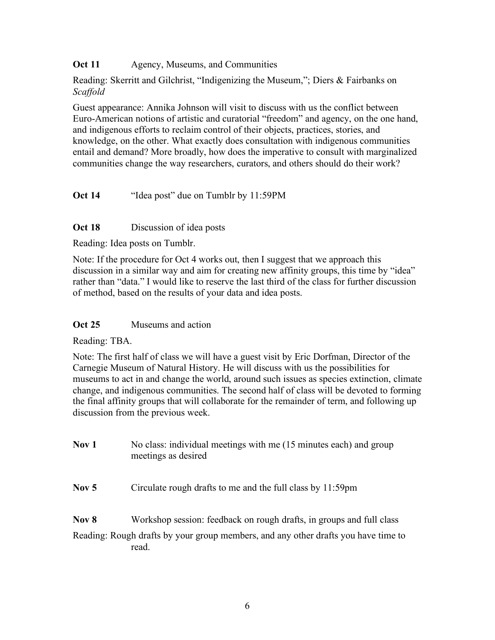**Oct 11** Agency, Museums, and Communities

Reading: Skerritt and Gilchrist, "Indigenizing the Museum,"; Diers & Fairbanks on *Scaffold*

Guest appearance: Annika Johnson will visit to discuss with us the conflict between Euro-American notions of artistic and curatorial "freedom" and agency, on the one hand, and indigenous efforts to reclaim control of their objects, practices, stories, and knowledge, on the other. What exactly does consultation with indigenous communities entail and demand? More broadly, how does the imperative to consult with marginalized communities change the way researchers, curators, and others should do their work?

**Oct 14** "Idea post" due on Tumblr by 11:59PM

#### **Oct 18** Discussion of idea posts

Reading: Idea posts on Tumblr.

Note: If the procedure for Oct 4 works out, then I suggest that we approach this discussion in a similar way and aim for creating new affinity groups, this time by "idea" rather than "data." I would like to reserve the last third of the class for further discussion of method, based on the results of your data and idea posts.

#### **Oct 25** Museums and action

Reading: TBA.

Note: The first half of class we will have a guest visit by Eric Dorfman, Director of the Carnegie Museum of Natural History. He will discuss with us the possibilities for museums to act in and change the world, around such issues as species extinction, climate change, and indigenous communities. The second half of class will be devoted to forming the final affinity groups that will collaborate for the remainder of term, and following up discussion from the previous week.

| Nov 1 | No class: individual meetings with me (15 minutes each) and group |
|-------|-------------------------------------------------------------------|
|       | meetings as desired                                               |

**Nov 5** Circulate rough drafts to me and the full class by 11:59pm

**Nov 8** Workshop session: feedback on rough drafts, in groups and full class Reading: Rough drafts by your group members, and any other drafts you have time to read.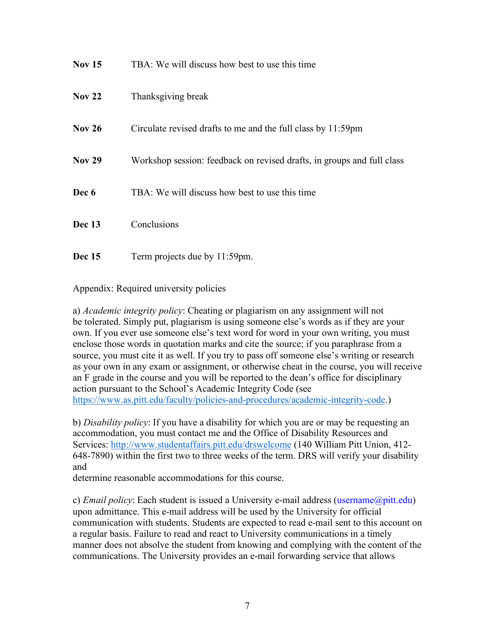| <b>Nov 15</b>     | TBA: We will discuss how best to use this time                         |
|-------------------|------------------------------------------------------------------------|
| Nov <sub>22</sub> | Thanksgiving break                                                     |
| <b>Nov 26</b>     | Circulate revised drafts to me and the full class by 11:59pm           |
| <b>Nov 29</b>     | Workshop session: feedback on revised drafts, in groups and full class |
| Dec 6             | TBA: We will discuss how best to use this time                         |
| Dec 13            | Conclusions                                                            |
| <b>Dec</b> 15     | Term projects due by 11:59pm.                                          |

Appendix: Required university policies

a) *Academic integrity policy*: Cheating or plagiarism on any assignment will not be tolerated. Simply put, plagiarism is using someone else's words as if they are your own. If you ever use someone else's text word for word in your own writing, you must enclose those words in quotation marks and cite the source; if you paraphrase from a source, you must cite it as well. If you try to pass off someone else's writing or research as your own in any exam or assignment, or otherwise cheat in the course, you will receive an F grade in the course and you will be reported to the dean's office for disciplinary action pursuant to the School's Academic Integrity Code (see https://www.as.pitt.edu/faculty/policies-and-procedures/academic-integrity-code.)

b) *Disability policy*: If you have a disability for which you are or may be requesting an accommodation, you must contact me and the Office of Disability Resources and Services: http://www.studentaffairs.pitt.edu/drswelcome (140 William Pitt Union, 412- 648-7890) within the first two to three weeks of the term. DRS will verify your disability and

determine reasonable accommodations for this course.

c) *Email policy*: Each student is issued a University e-mail address (username@pitt.edu) upon admittance. This e-mail address will be used by the University for official communication with students. Students are expected to read e-mail sent to this account on a regular basis. Failure to read and react to University communications in a timely manner does not absolve the student from knowing and complying with the content of the communications. The University provides an e-mail forwarding service that allows